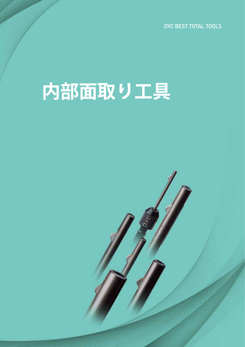DYC BEST TOTAL TOOLS

# **内部面取り工具**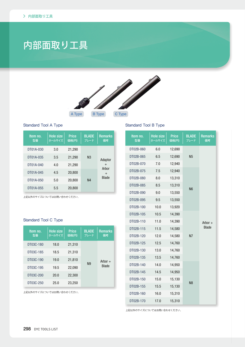# 内部面取り工具



#### Standard Tool A Type

| Item no.<br>型番 | <b>Hole size</b><br>ホールサイズ | <b>Price</b><br>価格(円) | <b>BLADE</b><br>ブレード | <b>Remarks</b><br>備考 |
|----------------|----------------------------|-----------------------|----------------------|----------------------|
| DT01A-030      | 3.0                        | 21,290                |                      |                      |
| DT01A-035      | 3.5                        | 21,290                | N <sub>3</sub>       | Adaptor              |
| DT01A-040      | 4.0                        | 21,290                |                      | $^{+}$<br>Arbor      |
| DT01A-045      | 4.5                        | 20,800                |                      | $^{+}$               |
| DT01A-050      | 5.0                        | 20,800                | N <sub>4</sub>       | <b>Blade</b>         |
| DT01A-055      | 5.5                        | 20,800                |                      |                      |

。上記以外のサイズについてはお問い合わせください

#### Standard Tool C Type

| Item no.<br>型番 | <b>Hole size</b><br>ホールサイズ | <b>Price</b><br>価格(円) | <b>BLADE</b><br>ブレード | <b>Remarks</b><br>備考 |
|----------------|----------------------------|-----------------------|----------------------|----------------------|
| DT03C-180      | 18.0                       | 21,310                |                      |                      |
| DT03C-185      | 18.5                       | 21,310                |                      |                      |
| DT03C-190      | 19.0                       | 21,810                | N9                   | Arbor $+$            |
| DT03C-195      | 19.5                       | 22,090                |                      | <b>Blade</b>         |
| DT03C-200      | 20.0                       | 22,300                |                      |                      |
| DT03C-250      | 25.0                       | 23,250                |                      |                      |

。上記以外のサイズについてはお問い合わせください

#### Standard Tool B Type

| Item no.<br>型番 | <b>Hole size</b><br>ホールサイズ | <b>Price</b><br>価格(円) | <b>BLADE</b><br>ブレード | <b>Remarks</b><br>備考 |
|----------------|----------------------------|-----------------------|----------------------|----------------------|
| DT02B-060      | 6.0                        | 12,690                |                      |                      |
| DT02B-065      | 6.5                        | 12,690                | <b>N5</b>            |                      |
| DT02B-070      | 7.0                        | 12,940                |                      |                      |
| DT02B-075      | 7.5                        | 12,940                |                      |                      |
| DT02B-080      | 8.0                        | 13,310                |                      |                      |
| DT02B-085      | 8.5                        | 13,310                | N <sub>6</sub>       |                      |
| DT02B-090      | 9.0                        | 13,550                |                      |                      |
| DT02B-095      | 9.5                        | 13,550                |                      |                      |
| DT02B-100      | 10.0                       | 13,920                |                      |                      |
| DT02B-105      | 10.5                       | 14,390                |                      |                      |
| DT02B-110      | 11.0                       | 14,390                |                      | Arbor +              |
| DT02B-115      | 11.5                       | 14,580                |                      | <b>Blade</b>         |
| DT02B-120      | 12.0                       | 14,580                | <b>N7</b>            |                      |
| DT02B-125      | 12.5                       | 14,760                |                      |                      |
| DT02B-130      | 13.0                       | 14,760                |                      |                      |
| DT02B-135      | 13.5                       | 14,760                |                      |                      |
| DT02B-140      | 14.0                       | 14,950                |                      |                      |
| DT02B-145      | 14.5                       | 14,950                |                      |                      |
| DT02B-150      | 15.0                       | 15,130                | N <sub>8</sub>       |                      |
| DT02B-155      | 15.5                       | 15,130                |                      |                      |
| DT02B-160      | 16.0                       | 15,310                |                      |                      |
| DT02B-170      | 17.0                       | 15,310                |                      |                      |

。上記以外のサイズについてはお問い合わせください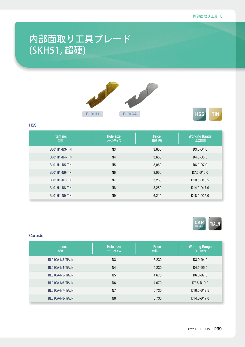## 内部面取り工具ブレード (SKH51, 超硬)





#### **HSS**

| Item no.<br>型番 | <b>Hole size</b><br>ホールサイズ | <b>Price</b><br>価格(円) | <b>Working Range</b><br>加工範囲         |
|----------------|----------------------------|-----------------------|--------------------------------------|
| BL01H1-N3-TIN  | N <sub>3</sub>             | 3,650                 | D <sub>3</sub> .0-D <sub>4.0</sub>   |
| BL01H1-N4-TIN  | N <sub>4</sub>             | 3,650                 | D4.5-D5.5                            |
| BL01H1-N5-TIN  | N <sub>5</sub>             | 3,060                 | D6.0-D7.0                            |
| BL01H1-N6-TIN  | N <sub>6</sub>             | 3,060                 | D7.5-D10.0                           |
| BL01H1-N7-TiN  | N <sub>7</sub>             | 3,250                 | D <sub>10.5</sub> -D <sub>13.5</sub> |
| BL01H1-N8-TIN  | N <sub>8</sub>             | 3,250                 | D <sub>14.0</sub> -D <sub>17.0</sub> |
| BL01H1-N9-TIN  | N <sub>9</sub>             | 6,210                 | D <sub>18.0</sub> -D <sub>25.0</sub> |



#### **Carbide**

| Item no.<br>型番  | Hole size<br>ホールサイズ | <b>Price</b><br>価格(円) | <b>Working Range</b><br>加工範囲         |
|-----------------|---------------------|-----------------------|--------------------------------------|
| BL01CA-N3-TIALN | N <sub>3</sub>      | 5,230                 | D <sub>3</sub> .0-D <sub>4.0</sub>   |
| BL01CA-N4-TIALN | N <sub>4</sub>      | 5,230                 | D4.5-D5.5                            |
| BL01CA-N5-TIALN | N <sub>5</sub>      | 4,670                 | D6.0-D7.0                            |
| BL01CA-N6-TIALN | N <sub>6</sub>      | 4,670                 | D7.5-D10.0                           |
| BL01CA-N7-TIALN | N <sub>7</sub>      | 5,730                 | D <sub>10.5</sub> -D <sub>13.5</sub> |
| BL01CA-N8-TIALN | N <sub>8</sub>      | 5,730                 | D <sub>14.0</sub> -D <sub>17.0</sub> |